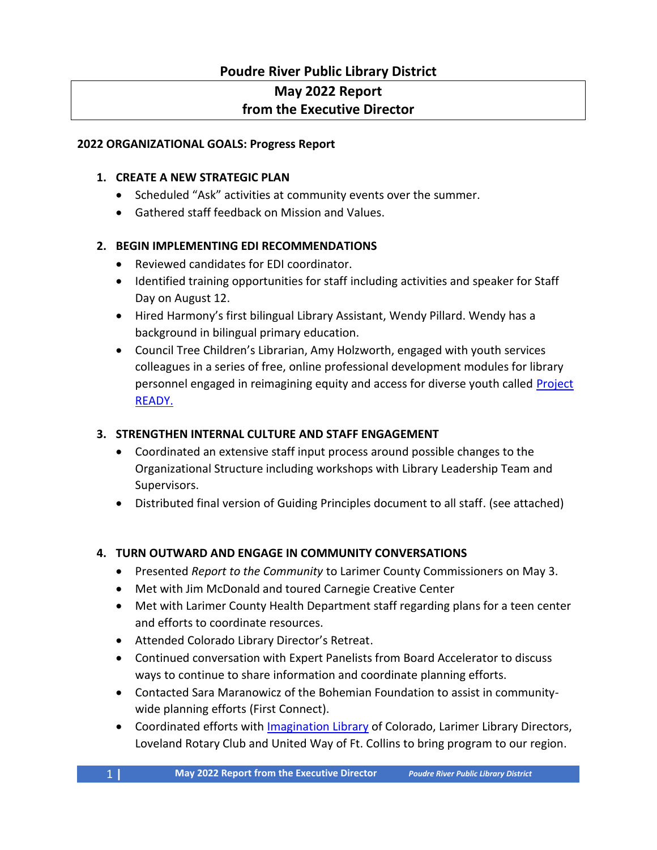# **Poudre River Public Library District**

# **May 2022 Report**

## **from the Executive Director**

#### **2022 ORGANIZATIONAL GOALS: Progress Report**

#### **1. CREATE A NEW STRATEGIC PLAN**

- Scheduled "Ask" activities at community events over the summer.
- Gathered staff feedback on Mission and Values.

#### **2. BEGIN IMPLEMENTING EDI RECOMMENDATIONS**

- Reviewed candidates for EDI coordinator.
- Identified training opportunities for staff including activities and speaker for Staff Day on August 12.
- Hired Harmony's first bilingual Library Assistant, Wendy Pillard. Wendy has a background in bilingual primary education.
- Council Tree Children's Librarian, Amy Holzworth, engaged with youth services colleagues in a series of free, online professional development modules for library personnel engaged in reimagining equity and access for diverse youth called Project [READY.](https://ready.web.unc.edu/)

## **3. STRENGTHEN INTERNAL CULTURE AND STAFF ENGAGEMENT**

- Coordinated an extensive staff input process around possible changes to the Organizational Structure including workshops with Library Leadership Team and Supervisors.
- Distributed final version of Guiding Principles document to all staff. (see attached)

## **4. TURN OUTWARD AND ENGAGE IN COMMUNITY CONVERSATIONS**

- Presented *Report to the Community* to Larimer County Commissioners on May 3.
- Met with Jim McDonald and toured Carnegie Creative Center
- Met with Larimer County Health Department staff regarding plans for a teen center and efforts to coordinate resources.
- Attended Colorado Library Director's Retreat.
- Continued conversation with Expert Panelists from Board Accelerator to discuss ways to continue to share information and coordinate planning efforts.
- Contacted Sara Maranowicz of the Bohemian Foundation to assist in communitywide planning efforts (First Connect).
- Coordinated efforts with [Imagination Library](https://imaginationlibrary.com/) of Colorado, Larimer Library Directors, Loveland Rotary Club and United Way of Ft. Collins to bring program to our region.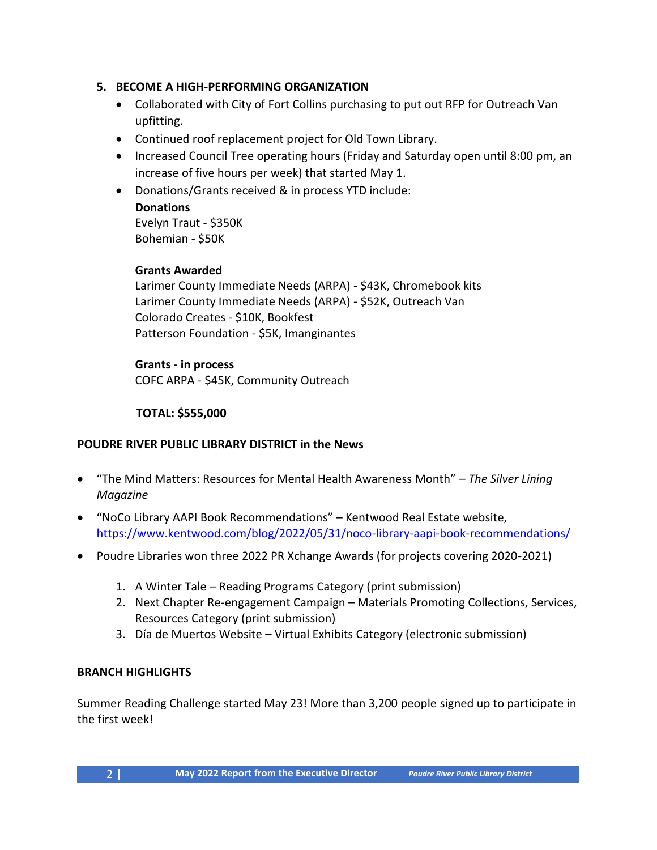#### **5. BECOME A HIGH-PERFORMING ORGANIZATION**

- Collaborated with City of Fort Collins purchasing to put out RFP for Outreach Van upfitting.
- Continued roof replacement project for Old Town Library.
- Increased Council Tree operating hours (Friday and Saturday open until 8:00 pm, an increase of five hours per week) that started May 1.
- Donations/Grants received & in process YTD include:

**Donations** Evelyn Traut - \$350K Bohemian - \$50K

#### **Grants Awarded**

Larimer County Immediate Needs (ARPA) - \$43K, Chromebook kits Larimer County Immediate Needs (ARPA) - \$52K, Outreach Van Colorado Creates - \$10K, Bookfest Patterson Foundation - \$5K, Imanginantes

#### **Grants - in process**

COFC ARPA - \$45K, Community Outreach

#### **TOTAL: \$555,000**

#### **POUDRE RIVER PUBLIC LIBRARY DISTRICT in the News**

- "The Mind Matters: Resources for Mental Health Awareness Month" *The Silver Lining Magazine*
- "NoCo Library AAPI Book Recommendations" Kentwood Real Estate website, <https://www.kentwood.com/blog/2022/05/31/noco-library-aapi-book-recommendations/>
- Poudre Libraries won three 2022 PR Xchange Awards (for projects covering 2020-2021)
	- 1. A Winter Tale Reading Programs Category (print submission)
	- 2. Next Chapter Re-engagement Campaign Materials Promoting Collections, Services, Resources Category (print submission)
	- 3. Día de Muertos Website Virtual Exhibits Category (electronic submission)

#### **BRANCH HIGHLIGHTS**

Summer Reading Challenge started May 23! More than 3,200 people signed up to participate in the first week!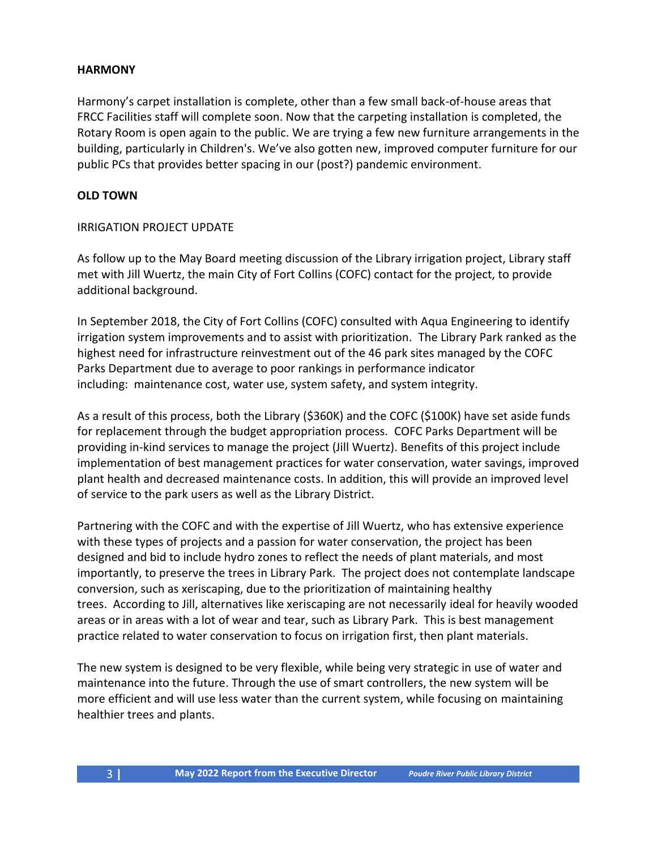#### **HARMONY**

Harmony's carpet installation is complete, other than a few small back-of-house areas that FRCC Facilities staff will complete soon. Now that the carpeting installation is completed, the Rotary Room is open again to the public. We are trying a few new furniture arrangements in the building, particularly in Children's. We've also gotten new, improved computer furniture for our public PCs that provides better spacing in our (post?) pandemic environment.

#### **OLD TOWN**

#### IRRIGATION PROJECT UPDATE

As follow up to the May Board meeting discussion of the Library irrigation project, Library staff met with Jill Wuertz, the main City of Fort Collins (COFC) contact for the project, to provide additional background.

In September 2018, the City of Fort Collins (COFC) consulted with Aqua Engineering to identify irrigation system improvements and to assist with prioritization. The Library Park ranked as the highest need for infrastructure reinvestment out of the 46 park sites managed by the COFC Parks Department due to average to poor rankings in performance indicator including: maintenance cost, water use, system safety, and system integrity.

As a result of this process, both the Library (\$360K) and the COFC (\$100K) have set aside funds for replacement through the budget appropriation process. COFC Parks Department will be providing in-kind services to manage the project (Jill Wuertz). Benefits of this project include implementation of best management practices for water conservation, water savings, improved plant health and decreased maintenance costs. In addition, this will provide an improved level of service to the park users as well as the Library District.

Partnering with the COFC and with the expertise of Jill Wuertz, who has extensive experience with these types of projects and a passion for water conservation, the project has been designed and bid to include hydro zones to reflect the needs of plant materials, and most importantly, to preserve the trees in Library Park. The project does not contemplate landscape conversion, such as xeriscaping, due to the prioritization of maintaining healthy trees. According to Jill, alternatives like xeriscaping are not necessarily ideal for heavily wooded areas or in areas with a lot of wear and tear, such as Library Park. This is best management practice related to water conservation to focus on irrigation first, then plant materials.

The new system is designed to be very flexible, while being very strategic in use of water and maintenance into the future. Through the use of smart controllers, the new system will be more efficient and will use less water than the current system, while focusing on maintaining healthier trees and plants.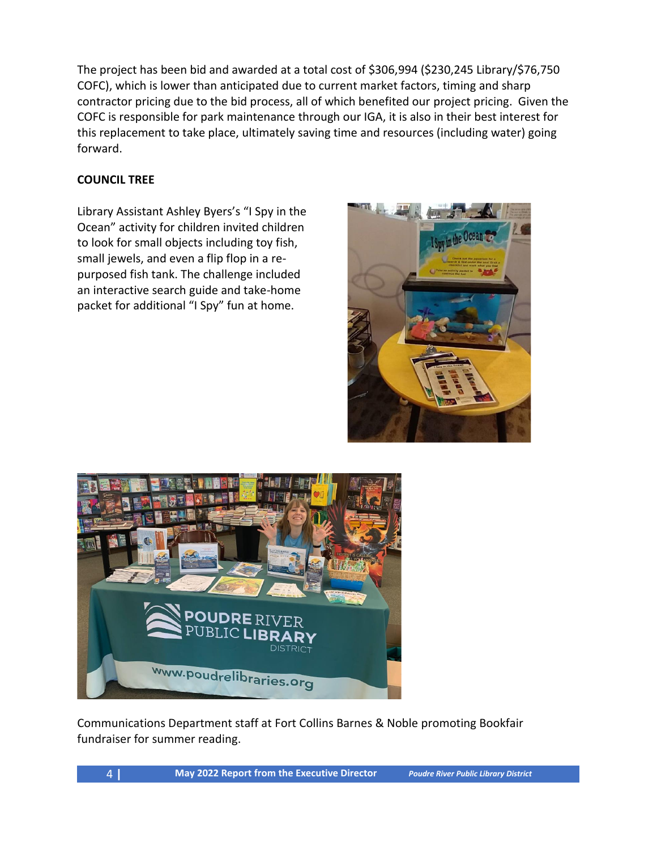The project has been bid and awarded at a total cost of \$306,994 (\$230,245 Library/\$76,750 COFC), which is lower than anticipated due to current market factors, timing and sharp contractor pricing due to the bid process, all of which benefited our project pricing. Given the COFC is responsible for park maintenance through our IGA, it is also in their best interest for this replacement to take place, ultimately saving time and resources (including water) going forward.

#### **COUNCIL TREE**

Library Assistant Ashley Byers's "I Spy in the Ocean" activity for children invited children to look for small objects including toy fish, small jewels, and even a flip flop in a repurposed fish tank. The challenge included an interactive search guide and take-home packet for additional "I Spy" fun at home.





Communications Department staff at Fort Collins Barnes & Noble promoting Bookfair fundraiser for summer reading.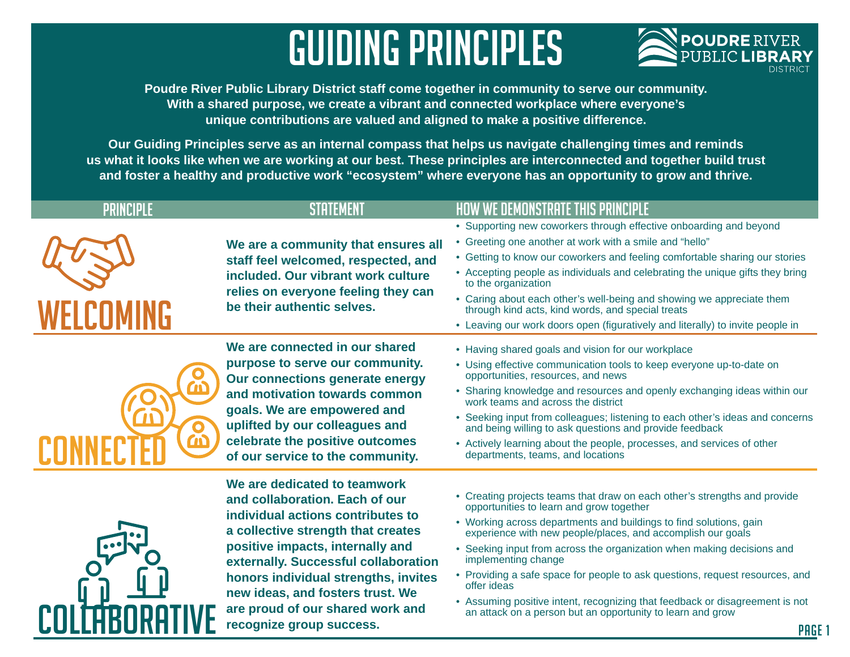# Guiding Principles



PAGE<sub>1</sub>

**Poudre River Public Library District staff come together in community to serve our community. With a shared purpose, we create a vibrant and connected workplace where everyone's unique contributions are valued and aligned to make a positive difference.**

**Our Guiding Principles serve as an internal compass that helps us navigate challenging times and reminds us what it looks like when we are working at our best. These principles are interconnected and together build trust and foster a healthy and productive work "ecosystem" where everyone has an opportunity to grow and thrive.** 

| PRINCIPLE | STATFMFN                                                                                                                                                                                                                                                                                                                                                          | <b>HOW WE DEMONSTRATE THIS PRINCIPLE</b>                                                                                                                                                                                                                                                                                                                                                                                                                                                                                                                                                                        |
|-----------|-------------------------------------------------------------------------------------------------------------------------------------------------------------------------------------------------------------------------------------------------------------------------------------------------------------------------------------------------------------------|-----------------------------------------------------------------------------------------------------------------------------------------------------------------------------------------------------------------------------------------------------------------------------------------------------------------------------------------------------------------------------------------------------------------------------------------------------------------------------------------------------------------------------------------------------------------------------------------------------------------|
|           | We are a community that ensures all<br>staff feel welcomed, respected, and<br>included. Our vibrant work culture<br>relies on everyone feeling they can<br>be their authentic selves.                                                                                                                                                                             | • Supporting new coworkers through effective onboarding and beyond<br>• Greeting one another at work with a smile and "hello"<br>• Getting to know our coworkers and feeling comfortable sharing our stories<br>• Accepting people as individuals and celebrating the unique gifts they bring<br>to the organization<br>• Caring about each other's well-being and showing we appreciate them<br>through kind acts, kind words, and special treats<br>• Leaving our work doors open (figuratively and literally) to invite people in                                                                            |
|           | We are connected in our shared<br>purpose to serve our community.<br>Our connections generate energy<br>and motivation towards common<br>goals. We are empowered and<br>uplifted by our colleagues and<br>celebrate the positive outcomes<br>of our service to the community.                                                                                     | • Having shared goals and vision for our workplace<br>• Using effective communication tools to keep everyone up-to-date on<br>opportunities, resources, and news<br>• Sharing knowledge and resources and openly exchanging ideas within our<br>work teams and across the district<br>• Seeking input from colleagues; listening to each other's ideas and concerns<br>and being willing to ask questions and provide feedback<br>• Actively learning about the people, processes, and services of other<br>departments, teams, and locations                                                                   |
|           | We are dedicated to teamwork<br>and collaboration. Each of our<br>individual actions contributes to<br>a collective strength that creates<br>positive impacts, internally and<br>externally. Successful collaboration<br>honors individual strengths, invites<br>new ideas, and fosters trust. We<br>are proud of our shared work and<br>recognize group success. | • Creating projects teams that draw on each other's strengths and provide<br>opportunities to learn and grow together<br>• Working across departments and buildings to find solutions, gain<br>experience with new people/places, and accomplish our goals<br>• Seeking input from across the organization when making decisions and<br>implementing change<br>• Providing a safe space for people to ask questions, request resources, and<br>offer ideas<br>• Assuming positive intent, recognizing that feedback or disagreement is not<br>an attack on a person but an opportunity to learn and grow<br>PAG |